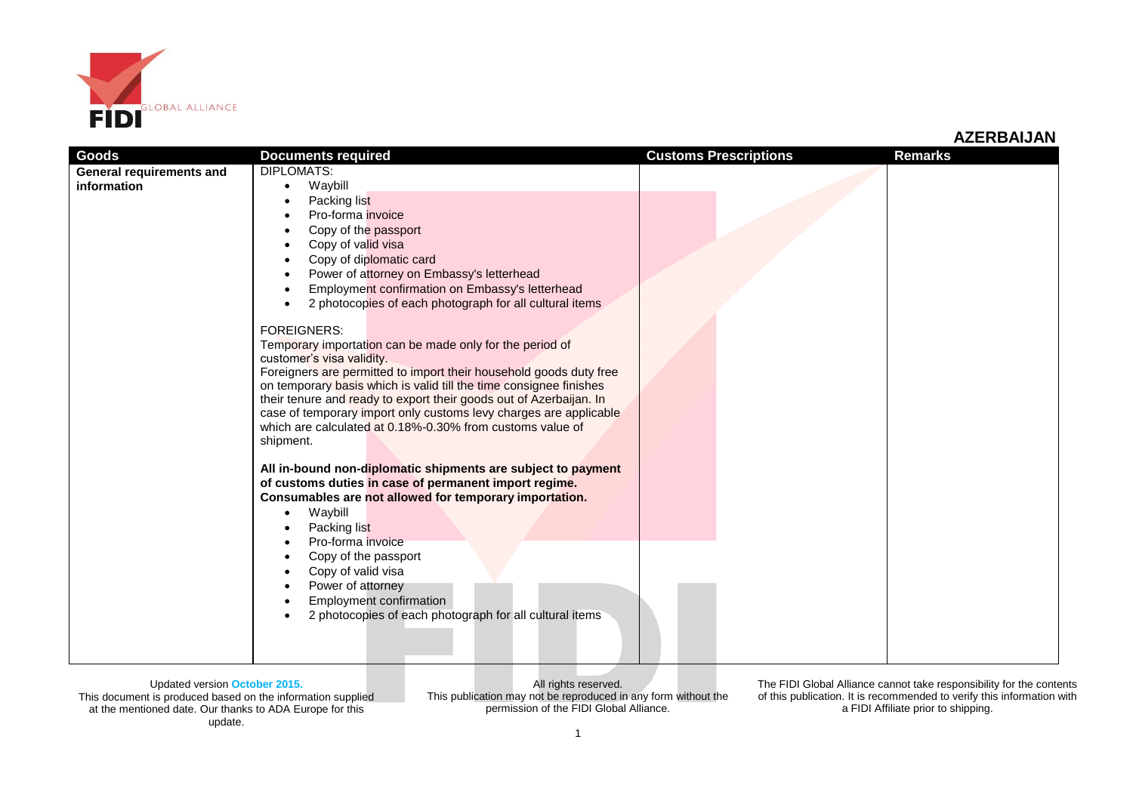

| Goods                           | <b>Documents required</b>                                                                                                                | <b>Customs Prescriptions</b> | <b>Remarks</b> |
|---------------------------------|------------------------------------------------------------------------------------------------------------------------------------------|------------------------------|----------------|
| <b>General requirements and</b> | <b>DIPLOMATS:</b>                                                                                                                        |                              |                |
| information                     | Waybill<br>$\bullet$                                                                                                                     |                              |                |
|                                 | Packing list<br>Pro-forma invoice                                                                                                        |                              |                |
|                                 | Copy of the passport                                                                                                                     |                              |                |
|                                 | Copy of valid visa                                                                                                                       |                              |                |
|                                 | Copy of diplomatic card                                                                                                                  |                              |                |
|                                 | Power of attorney on Embassy's letterhead                                                                                                |                              |                |
|                                 | Employment confirmation on Embassy's letterhead<br>$\bullet$                                                                             |                              |                |
|                                 | 2 photocopies of each photograph for all cultural items<br>$\bullet$                                                                     |                              |                |
|                                 | <b>FOREIGNERS:</b>                                                                                                                       |                              |                |
|                                 | Temporary importation can be made only for the period of                                                                                 |                              |                |
|                                 | customer's visa validity.                                                                                                                |                              |                |
|                                 | Foreigners are permitted to import their household goods duty free<br>on temporary basis which is valid till the time consignee finishes |                              |                |
|                                 | their tenure and ready to export their goods out of Azerbaijan. In                                                                       |                              |                |
|                                 | case of temporary import only customs levy charges are applicable                                                                        |                              |                |
|                                 | which are calculated at 0.18%-0.30% from customs value of                                                                                |                              |                |
|                                 | shipment.                                                                                                                                |                              |                |
|                                 | All in-bound non-diplomatic shipments are subject to payment                                                                             |                              |                |
|                                 | of customs duties in case of permanent import regime.                                                                                    |                              |                |
|                                 | Consumables are not allowed for temporary importation.                                                                                   |                              |                |
|                                 | Waybill<br>Packing list                                                                                                                  |                              |                |
|                                 | Pro-forma invoice                                                                                                                        |                              |                |
|                                 | Copy of the passport                                                                                                                     |                              |                |
|                                 | Copy of valid visa                                                                                                                       |                              |                |
|                                 | Power of attorney                                                                                                                        |                              |                |
|                                 | Employment confirmation<br>2 photocopies of each photograph for all cultural items                                                       |                              |                |
|                                 |                                                                                                                                          |                              |                |
|                                 |                                                                                                                                          |                              |                |
|                                 |                                                                                                                                          |                              |                |

Updated version **October 2015.** This document is produced based on the information supplied at the mentioned date. Our thanks to ADA Europe for this update.

All rights reserved. This publication may not be reproduced in any form without the permission of the FIDI Global Alliance.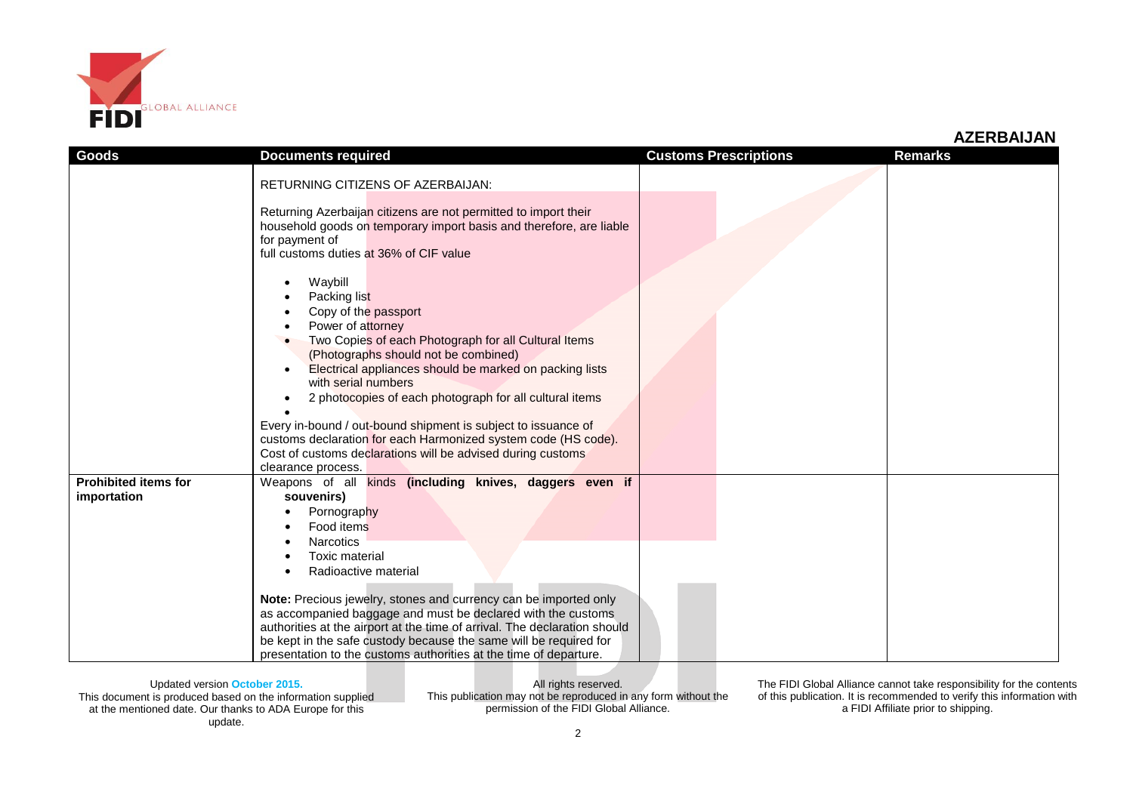

| <b>Goods</b>                               | <b>Documents required</b>                                                                                                                                                                                                                                                                                                                                                                                                                                                                                                          | <b>Customs Prescriptions</b> | <b>Remarks</b> |
|--------------------------------------------|------------------------------------------------------------------------------------------------------------------------------------------------------------------------------------------------------------------------------------------------------------------------------------------------------------------------------------------------------------------------------------------------------------------------------------------------------------------------------------------------------------------------------------|------------------------------|----------------|
|                                            | <b>RETURNING CITIZENS OF AZERBAIJAN:</b><br>Returning Azerbaijan citizens are not permitted to import their<br>household goods on temporary import basis and therefore, are liable<br>for payment of<br>full customs duties at 36% of CIF value<br>Waybill<br>Packing list<br>Copy of the passport                                                                                                                                                                                                                                 |                              |                |
|                                            | Power of attorney<br>Two Copies of each Photograph for all Cultural Items<br>(Photographs should not be combined)<br>Electrical appliances should be marked on packing lists<br>with serial numbers<br>2 photocopies of each photograph for all cultural items<br>Every in-bound / out-bound shipment is subject to issuance of<br>customs declaration for each Harmonized system code (HS code).<br>Cost of customs declarations will be advised during customs<br>clearance process.                                             |                              |                |
| <b>Prohibited items for</b><br>importation | Weapons of all kinds (including knives, daggers even if<br>souvenirs)<br>Pornography<br>Food items<br><b>Narcotics</b><br><b>Toxic material</b><br>Radioactive material<br>Note: Precious jewelry, stones and currency can be imported only<br>as accompanied baggage and must be declared with the customs<br>authorities at the airport at the time of arrival. The declaration should<br>be kept in the safe custody because the same will be required for<br>presentation to the customs authorities at the time of departure. |                              |                |

Updated version **October 2015.** This document is produced based on the information supplied at the mentioned date. Our thanks to ADA Europe for this update.

All rights reserved. This publication may not be reproduced in any form without the permission of the FIDI Global Alliance.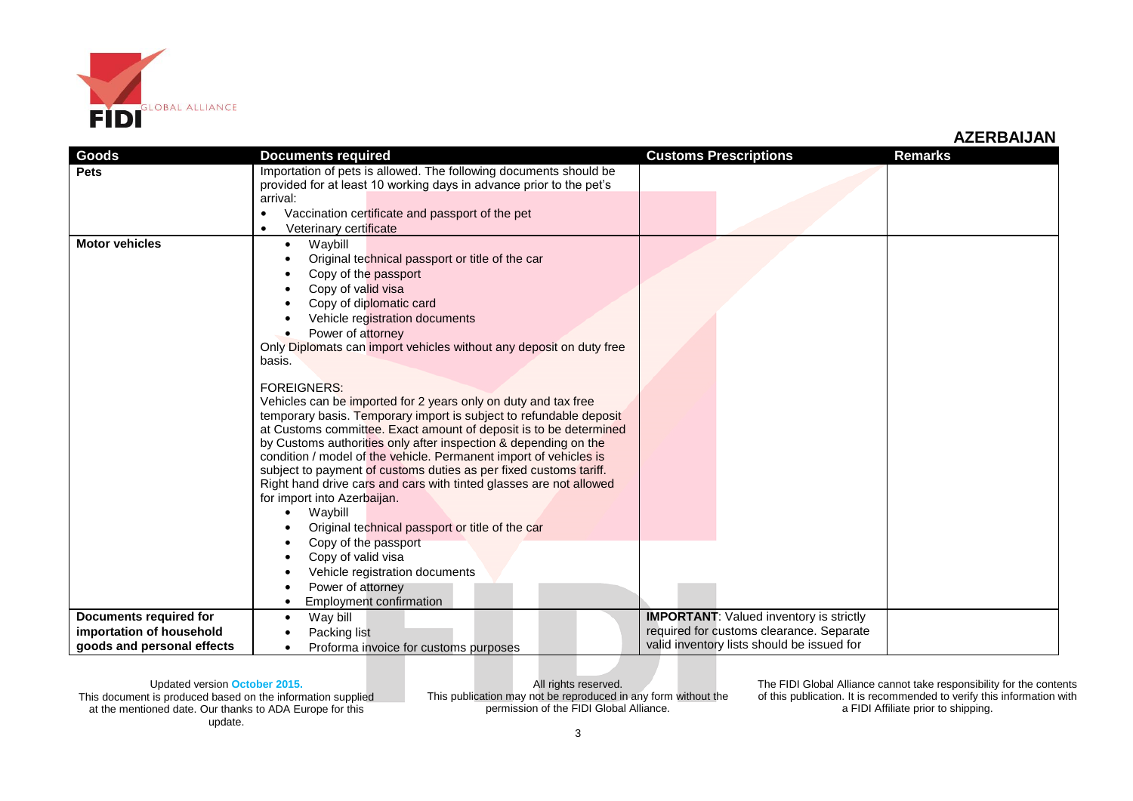

| Goods                      | <b>Documents required</b>                                                                                                            | <b>Customs Prescriptions</b>                                                           | <b>Remarks</b> |
|----------------------------|--------------------------------------------------------------------------------------------------------------------------------------|----------------------------------------------------------------------------------------|----------------|
| <b>Pets</b>                | Importation of pets is allowed. The following documents should be                                                                    |                                                                                        |                |
|                            | provided for at least 10 working days in advance prior to the pet's                                                                  |                                                                                        |                |
|                            | arrival:                                                                                                                             |                                                                                        |                |
|                            | Vaccination certificate and passport of the pet<br>$\bullet$                                                                         |                                                                                        |                |
|                            | Veterinary certificate<br>$\bullet$                                                                                                  |                                                                                        |                |
| <b>Motor vehicles</b>      | Waybill<br>٠                                                                                                                         |                                                                                        |                |
|                            | Original technical passport or title of the car                                                                                      |                                                                                        |                |
|                            | Copy of the passport                                                                                                                 |                                                                                        |                |
|                            | Copy of valid visa                                                                                                                   |                                                                                        |                |
|                            | Copy of diplomatic card                                                                                                              |                                                                                        |                |
|                            | Vehicle registration documents                                                                                                       |                                                                                        |                |
|                            | Power of attorney                                                                                                                    |                                                                                        |                |
|                            | Only Diplomats can import vehicles without any deposit on duty free                                                                  |                                                                                        |                |
|                            | basis.                                                                                                                               |                                                                                        |                |
|                            |                                                                                                                                      |                                                                                        |                |
|                            | <b>FOREIGNERS:</b>                                                                                                                   |                                                                                        |                |
|                            | Vehicles can be imported for 2 years only on duty and tax free                                                                       |                                                                                        |                |
|                            | temporary basis. Temporary import is subject to refundable deposit                                                                   |                                                                                        |                |
|                            | at Customs committee. Exact amount of deposit is to be determined                                                                    |                                                                                        |                |
|                            | by Customs authorities only after inspection & depending on the<br>condition / model of the vehicle. Permanent import of vehicles is |                                                                                        |                |
|                            | subject to payment of customs duties as per fixed customs tariff.                                                                    |                                                                                        |                |
|                            | Right hand drive cars and cars with tinted glasses are not allowed                                                                   |                                                                                        |                |
|                            | for import into Azerbaijan.                                                                                                          |                                                                                        |                |
|                            | Waybill                                                                                                                              |                                                                                        |                |
|                            | Original technical passport or title of the car                                                                                      |                                                                                        |                |
|                            | Copy of the passport                                                                                                                 |                                                                                        |                |
|                            | Copy of valid visa                                                                                                                   |                                                                                        |                |
|                            | Vehicle registration documents                                                                                                       |                                                                                        |                |
|                            | Power of attorney                                                                                                                    |                                                                                        |                |
|                            | <b>Employment confirmation</b>                                                                                                       |                                                                                        |                |
|                            |                                                                                                                                      |                                                                                        |                |
| Documents required for     | Way bill                                                                                                                             | <b>IMPORTANT:</b> Valued inventory is strictly                                         |                |
| importation of household   | Packing list                                                                                                                         | required for customs clearance. Separate<br>valid inventory lists should be issued for |                |
| goods and personal effects | Proforma invoice for customs purposes<br>$\bullet$                                                                                   |                                                                                        |                |

Updated version **October 2015.** This document is produced based on the information supplied at the mentioned date. Our thanks to ADA Europe for this update.

All rights reserved. This publication may not be reproduced in any form without the permission of the FIDI Global Alliance.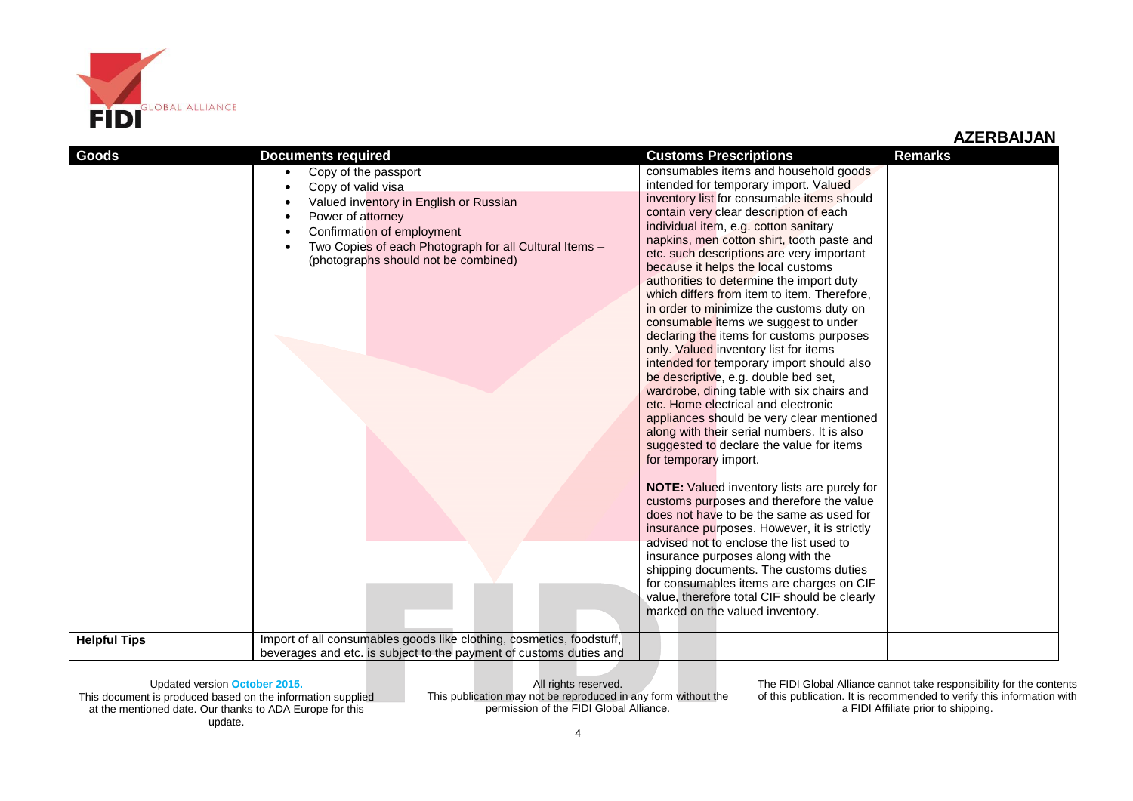

| <b>Goods</b>        | <b>Documents required</b>                                                                                                                                                                                                                              | <b>Customs Prescriptions</b>                                                                                                                                                                                                                                                                                                                                                                                                                                                                                                                                                                                                                                                                                                                                                                                                                                                                                                                                                                                                                                                                                                                                                                                                                                                                                                                                                                                          | <b>Remarks</b> |
|---------------------|--------------------------------------------------------------------------------------------------------------------------------------------------------------------------------------------------------------------------------------------------------|-----------------------------------------------------------------------------------------------------------------------------------------------------------------------------------------------------------------------------------------------------------------------------------------------------------------------------------------------------------------------------------------------------------------------------------------------------------------------------------------------------------------------------------------------------------------------------------------------------------------------------------------------------------------------------------------------------------------------------------------------------------------------------------------------------------------------------------------------------------------------------------------------------------------------------------------------------------------------------------------------------------------------------------------------------------------------------------------------------------------------------------------------------------------------------------------------------------------------------------------------------------------------------------------------------------------------------------------------------------------------------------------------------------------------|----------------|
|                     | Copy of the passport<br>$\bullet$<br>Copy of valid visa<br>Valued inventory in English or Russian<br>Power of attorney<br>Confirmation of employment<br>Two Copies of each Photograph for all Cultural Items -<br>(photographs should not be combined) | consumables items and household goods<br>intended for temporary import. Valued<br>inventory list for consumable items should<br>contain very clear description of each<br>individual item, e.g. cotton sanitary<br>napkins, men cotton shirt, tooth paste and<br>etc. such descriptions are very important<br>because it helps the local customs<br>authorities to determine the import duty<br>which differs from item to item. Therefore,<br>in order to minimize the customs duty on<br>consumable items we suggest to under<br>declaring the items for customs purposes<br>only. Valued inventory list for items<br>intended for temporary import should also<br>be descriptive, e.g. double bed set,<br>wardrobe, dining table with six chairs and<br>etc. Home electrical and electronic<br>appliances should be very clear mentioned<br>along with their serial numbers. It is also<br>suggested to declare the value for items<br>for temporary import.<br><b>NOTE:</b> Valued inventory lists are purely for<br>customs purposes and therefore the value<br>does not have to be the same as used for<br>insurance purposes. However, it is strictly<br>advised not to enclose the list used to<br>insurance purposes along with the<br>shipping documents. The customs duties<br>for consumables items are charges on CIF<br>value, therefore total CIF should be clearly<br>marked on the valued inventory. |                |
| <b>Helpful Tips</b> | Import of all consumables goods like clothing, cosmetics, foodstuff,<br>beverages and etc. is subject to the payment of customs duties and                                                                                                             |                                                                                                                                                                                                                                                                                                                                                                                                                                                                                                                                                                                                                                                                                                                                                                                                                                                                                                                                                                                                                                                                                                                                                                                                                                                                                                                                                                                                                       |                |

Updated version **October 2015.** This document is produced based on the information supplied at the mentioned date. Our thanks to ADA Europe for this update.

All rights reserved. This publication may not be reproduced in any form without the permission of the FIDI Global Alliance.